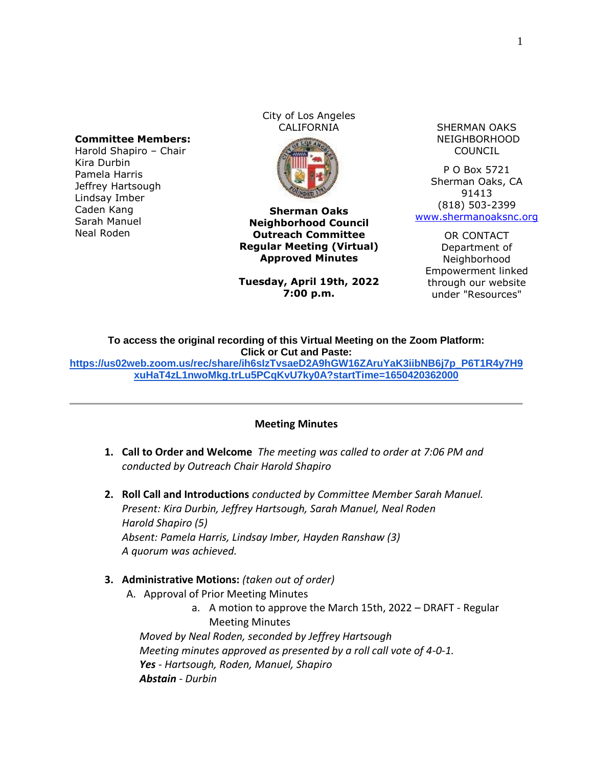## **Committee Members:**

Harold Shapiro – Chair Kira Durbin Pamela Harris Jeffrey Hartsough Lindsay Imber Caden Kang Sarah Manuel Neal Roden

City of Los Angeles CALIFORNIA SHERMAN OAKS



**Sherman Oaks Neighborhood Council Outreach Committee Regular Meeting (Virtual) Approved Minutes**

**Tuesday, April 19th, 2022 7:00 p.m.**

NEIGHBORHOOD COUNCIL

P O Box 5721 Sherman Oaks, CA 91413 (818) 503-2399 [www.shermanoaksnc.org](http://www.shermanoaksnc.org/)

OR CONTACT Department of Neighborhood Empowerment linked through our website under "Resources"

**To access the original recording of this Virtual Meeting on the Zoom Platform: Click or Cut and Paste:**

**[https://us02web.zoom.us/rec/share/ih6sIzTvsaeD2A9hGW16ZAruYaK3iibNB6j7p\\_P6T1R4y7H9](https://us02web.zoom.us/rec/share/ih6sIzTvsaeD2A9hGW16ZAruYaK3iibNB6j7p_P6T1R4y7H9xuHaT4zL1nwoMkg.trLu5PCqKvU7ky0A?startTime=1650420362000) [xuHaT4zL1nwoMkg.trLu5PCqKvU7ky0A?startTime=1650420362000](https://us02web.zoom.us/rec/share/ih6sIzTvsaeD2A9hGW16ZAruYaK3iibNB6j7p_P6T1R4y7H9xuHaT4zL1nwoMkg.trLu5PCqKvU7ky0A?startTime=1650420362000)**

## **Meeting Minutes**

- **1. Call to Order and Welcome** *The meeting was called to order at 7:06 PM and conducted by Outreach Chair Harold Shapiro*
- **2. Roll Call and Introductions** *conducted by Committee Member Sarah Manuel. Present: Kira Durbin, Jeffrey Hartsough, Sarah Manuel, Neal Roden Harold Shapiro (5) Absent: Pamela Harris, Lindsay Imber, Hayden Ranshaw (3) A quorum was achieved.*

## **3. Administrative Motions:** *(taken out of order)*

- A. Approval of Prior Meeting Minutes
	- a. A motion to approve the March 15th, 2022 DRAFT Regular Meeting Minutes

*Moved by Neal Roden, seconded by Jeffrey Hartsough Meeting minutes approved as presented by a roll call vote of 4-0-1. Yes - Hartsough, Roden, Manuel, Shapiro Abstain - Durbin*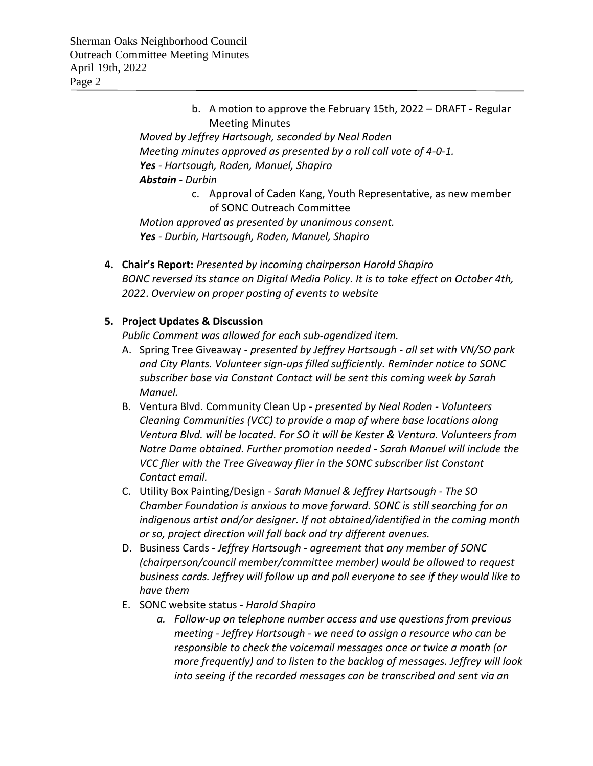b. A motion to approve the February 15th, 2022 – DRAFT - Regular Meeting Minutes

*Moved by Jeffrey Hartsough, seconded by Neal Roden Meeting minutes approved as presented by a roll call vote of 4-0-1. Yes - Hartsough, Roden, Manuel, Shapiro Abstain - Durbin*

> c. Approval of Caden Kang, Youth Representative, as new member of SONC Outreach Committee

*Motion approved as presented by unanimous consent. Yes - Durbin, Hartsough, Roden, Manuel, Shapiro*

**4. Chair's Report:** *Presented by incoming chairperson Harold Shapiro BONC reversed its stance on Digital Media Policy. It is to take effect on October 4th, 2022*. *Overview on proper posting of events to website* 

## **5. Project Updates & Discussion**

*Public Comment was allowed for each sub-agendized item.*

- A. Spring Tree Giveaway *presented by Jeffrey Hartsough - all set with VN/SO park and City Plants. Volunteer sign-ups filled sufficiently. Reminder notice to SONC subscriber base via Constant Contact will be sent this coming week by Sarah Manuel.*
- B. Ventura Blvd. Community Clean Up *presented by Neal Roden - Volunteers Cleaning Communities (VCC) to provide a map of where base locations along Ventura Blvd. will be located. For SO it will be Kester & Ventura. Volunteers from Notre Dame obtained. Further promotion needed - Sarah Manuel will include the VCC flier with the Tree Giveaway flier in the SONC subscriber list Constant Contact email.*
- C. Utility Box Painting/Design *Sarah Manuel & Jeffrey Hartsough - The SO Chamber Foundation is anxious to move forward. SONC is still searching for an indigenous artist and/or designer. If not obtained/identified in the coming month or so, project direction will fall back and try different avenues.*
- D. Business Cards *Jeffrey Hartsough - agreement that any member of SONC (chairperson/council member/committee member) would be allowed to request business cards. Jeffrey will follow up and poll everyone to see if they would like to have them*
- E. SONC website status *Harold Shapiro*
	- *a. Follow-up on telephone number access and use questions from previous meeting - Jeffrey Hartsough - we need to assign a resource who can be responsible to check the voicemail messages once or twice a month (or more frequently) and to listen to the backlog of messages. Jeffrey will look into seeing if the recorded messages can be transcribed and sent via an*